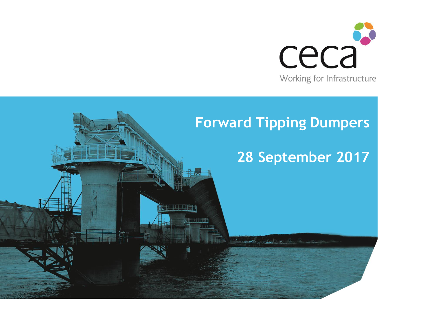

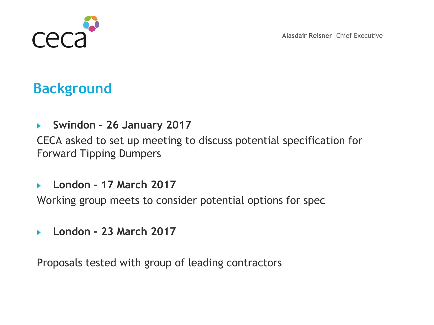

## **Background**

**Swindon – 26 January 2017**   $\blacktriangleright$ 

CECA asked to set up meeting to discuss potential specification for Forward Tipping Dumpers

**London – 17 March 2017** b.

Working group meets to consider potential options for spec

**London - 23 March 2017** ь

Proposals tested with group of leading contractors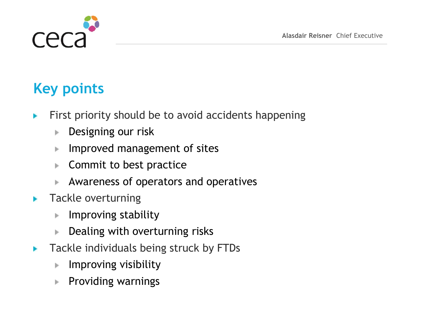

# **Key points**

- First priority should be to avoid accidents happening b.
	- Designing our risk Þ.
	- Improved management of sites Þ
	- Commit to best practice Þ.
	- Awareness of operators and operatives Þ.
- Tackle overturning  $\overline{\phantom{a}}$ 
	- Improving stability Þ.
	- Dealing with overturning risks ь
- Tackle individuals being struck by FTDs  $\overline{\phantom{a}}$ 
	- Improving visibility Þ.
	- Providing warningsÞ.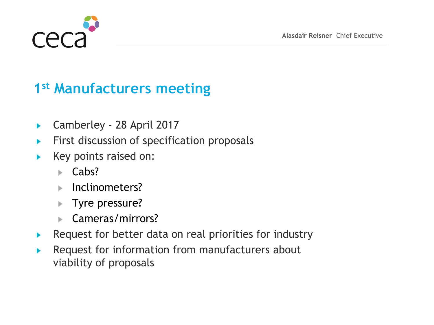

### **1 st Manufacturers meeting**

- Camberley 28 April 2017 Þ
- First discussion of specification proposals ▶
- Key points raised on: y.
	- $\blacktriangleright$  Cabs?
	- Inclinometers?
	- Tyre pressure?
	- Cameras/mirrors?
- Request for better data on real priorities for industry y.
- Request for information from manufacturers about ▶ viability of proposals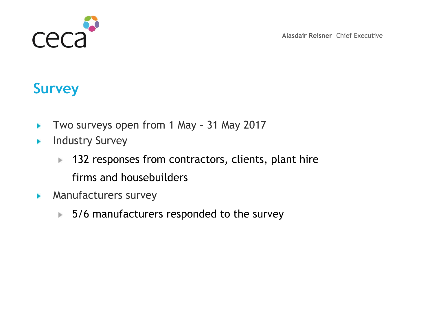



#### **Survey**

- Two surveys open from 1 May 31 May 2017 Þ
- Industry Survey Þ
	- 132 responses from contractors, clients, plant hire Þ. firms and housebuilders
- Manufacturers survey  $\blacktriangleright$ 
	- $\blacktriangleright$  5/6 manufacturers responded to the survey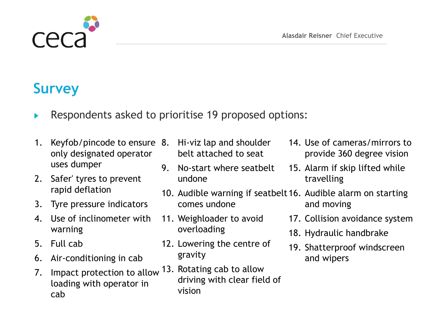

#### **Survey**

- Respondents asked to prioritise 19 proposed options:
- 1. Keyfob/pincode to ensure 8. Hi-viz lap and shoulder only designated operator uses dumper
- 2. Safer' tyres to prevent rapid deflation
- 3. Tyre pressure indicators
- 4. Use of inclinometer with warning
- 5. Full cab
- 6. Air-conditioning in cab
- 7. Impact protection to allow loading with operator in cab
- belt attached to seat
- 9. No-start where seatbelt undone
- 10. Audible warning if seatbelt 16. Audible alarm on starting comes undone and moving
- 11. Weighloader to avoid overloading
- 12. Lowering the centre of gravity
- 13. Rotating cab to allow driving with clear field of vision
- 14. Use of cameras/mirrors to provide 360 degree vision
- 15. Alarm if skip lifted while travelling
- - 17. Collision avoidance system
	- 18. Hydraulic handbrake
	- 19. Shatterproof windscreen and wipers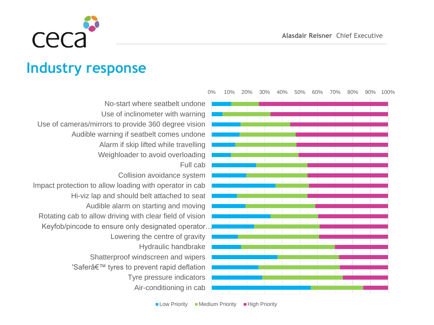

## **Industry response**

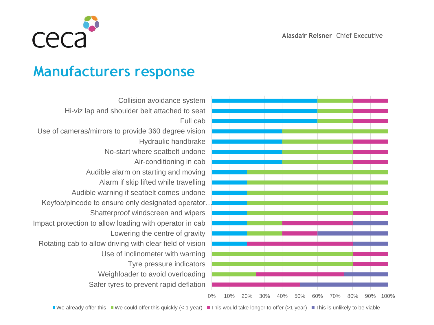

#### **Manufacturers response**

Safer tyres to prevent rapid deflation Weighloader to avoid overloading Tyre pressure indicators Use of inclinometer with warning Rotating cab to allow driving with clear field of vision Lowering the centre of gravity Impact protection to allow loading with operator in cab Shatterproof windscreen and wipers Keyfob/pincode to ensure only designated operator… Audible warning if seatbelt comes undone Alarm if skip lifted while travelling Audible alarm on starting and moving Air-conditioning in cab No-start where seatbelt undone Hydraulic handbrake Use of cameras/mirrors to provide 360 degree vision Full cab Hi-viz lap and shoulder belt attached to seat Collision avoidance system



We already offer this We could offer this quickly (< 1 year) This would take longer to offer (>1 year) This is unlikely to be viable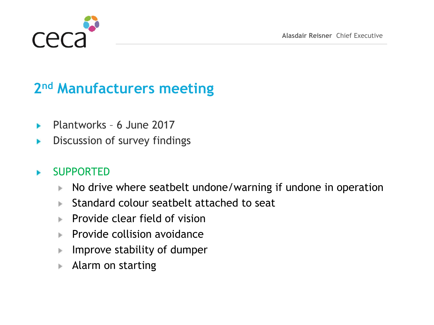

## **2 nd Manufacturers meeting**

- Plantworks 6 June 2017 y.
- Discussion of survey findings ▶

#### SUPPORTED y.

- No drive where seatbelt undone/warning if undone in operation b.
- Standard colour seatbelt attached to seat
- Provide clear field of vision b.
- $\blacktriangleright$  Provide collision avoidance
- Improve stability of dumper Þ
- Alarm on startingb.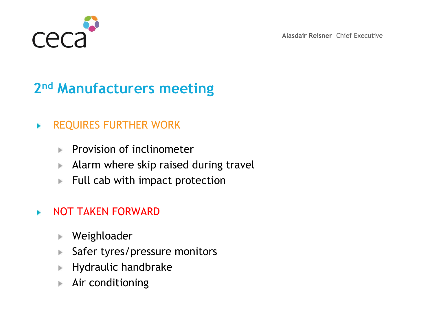

# **2 nd Manufacturers meeting**

#### REQUIRES FURTHER WORK ×

- Provision of inclinometer
- Alarm where skip raised during travel Þ.
- Full cab with impact protection Þ.

#### NOT TAKEN FORWARD y.

- Weighloader þ.
- Safer tyres/pressure monitors Þ
- Hydraulic handbrake Þ
- Air conditioningþ.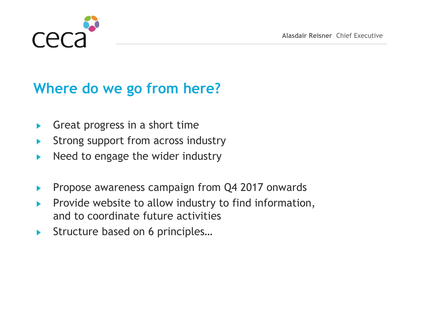

## **Where do we go from here?**

- Great progress in a short time Þ
- Strong support from across industry ▶
- Need to engage the wider industry Þ
- Propose awareness campaign from Q4 2017 onwards ▶
- Provide website to allow industry to find information, þ. and to coordinate future activities
- Structure based on 6 principles…b.